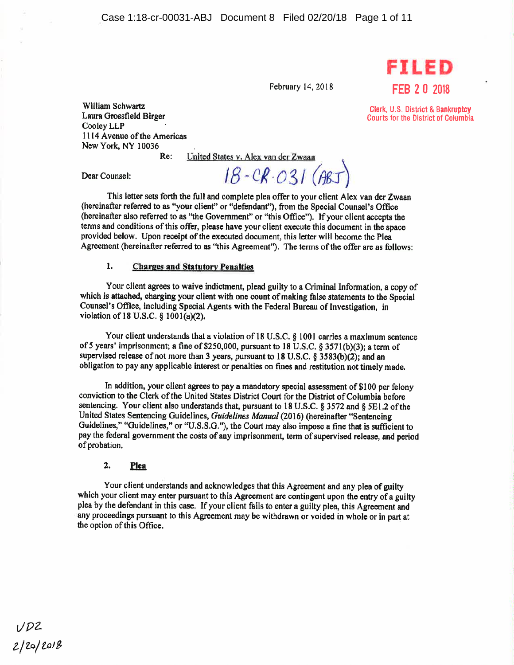Case 1:18-cr-00031-ABJ Document 8 Filed 02/20/18 Page 1 of 11

February 14, 2018<br>
FEB 2 0 2018

**FILED** 

Clerk, U.S. District & Bankruptcy Courts for the District of Columbia

William Schwartz Laura Grossfield **Birger**  CooleyLLP 1114 Avenue of the Americas New York, NY 10036

**Re:** United States v. Alex van der Zwaan

Dear Counsel:

 $\sim$ 18 *ct* 031 *(!\$T)* 

This letter sets forth the full and complete plea offer to your client Alex van der Zwaan (hereinafter referred to as "your client" or "defendant"), from the Special Counsel's Office (hereinafter also referred to as ''the Government" or "this Office"). If your client accepts the terms and conditions of this offer, please have your client execute this document in the space provided below. Upon receipt of the executed document, this letter will become the Plea Agreement (hereinafter referred to as "this Agreement"). The terms of the offer are as follows:

## 1. Charges and Statutory Penalties

Your client agrees to waive indictment, plead guilty to a Criminal Information, a copy of which is **attached, charging** your client with one count of making false statements to the Special Counsel's Office, including Special Agents with the Federal Bureau of Investigation, in violation of 18 U.S.C. § 1001(a)(2).

Your client understands that a violation of 18 U.S.C. § 1001 carries a maximum sentence of 5 years' imprisonment; a fine of \$250,000, pursuant to 18 U.S.C. § 3571(b)(3); a term of supervised release of not more than 3 years, pursuant to 18 U.S.C. §  $3583(b)(2)$ ; and an obligation to pay any applicable interest or penalties on fines and restitution not timely made,

In addition, your client agrees to pay a mandatory special assessment of \$100 per felony conviction to the Clerk of the United States District Court for the District of Columbia before sentencing. Your client also understands that, pursuant to 18 U.S.C. § 3572 and § SEI .2 of the United States Sentencing Guidelines, *Guidelines Manual* (2016) (hereinafter "Sentencing Guidelines," "Guidelines," or "U.S.S.O."), the Court may also impose a fine that is sufficient to pay the federal government the costs of any imprisonment, term of supervised release, and period of probation.

### 2. **Plea**

Your client understands and acknowledges that this Agreement and any plea of guilty which your client may enter pursuant to this Agreement are contingent upon the entry of a guilty <sup>p</sup>lea by the defendant in this case. If your client fails to enter a guilty plea, this Agreement and any proceedings pursuant to this Agreement may be withdrawn or voided in whole or in part at the option of this Office.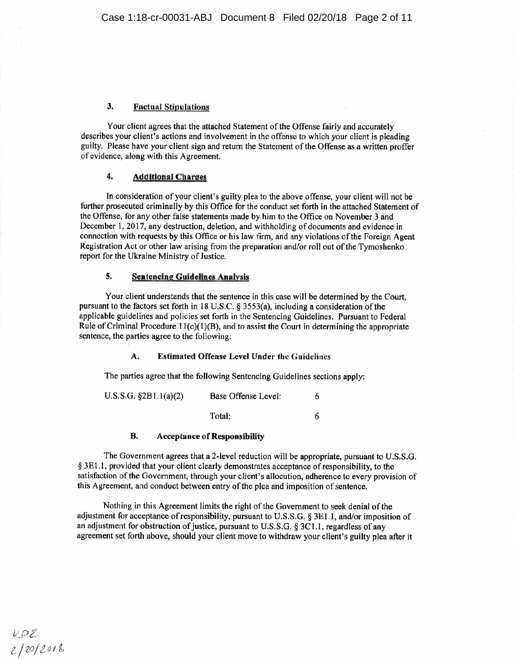# 3. Factual Stipulations

Your client agrees that the attached Statement of the Offense fairly and accurately describes your client's actions and involvement in the offense to which your client is pleading guilty. Please have your client sign and return the Statement of the Offense as a written proffer of evidence, along with this Agreement.

# 4. Additional Charges

In consideration of your client's guilty plea to the above offense, your client will not be further prosecuted criminally by this Office for the conduct set forth in the attached Statement of the Offense, for any other false statements made by him to the Office on November 3 and December 1, 2017, any destruction, deletion, and withholding of documents and evidence in connection with requests by this Office or his law firm, and any violations of the Foreign Agent Registration Act or other law arising from the preparation and/or roll out of the Tymoshenko report for the Ukraine Ministry of Justice.

## 5. **Sentencing Guidelines Analysis**

Your client understands that the sentence in this case will be determined by the Court, pursuant to the factors set forth in 18 U.S.C. § 3553(a), including a consideration of the applicable guidelines and policies set forth in the Sentencing Guidelines. Pursuant to Federal Rule of Criminal Procedure  $11(c)(1)(B)$ , and to assist the Court in determining the appropriate sentence, the parties agree to the following:

# **A. Estimated Offense Level Under the** Guidelines

The parties agree that the following Sentencing Guidelines sections apply:

| U.S.S.G. §2B1.1(a)(2) | Base Offense Level: |  |
|-----------------------|---------------------|--|
|                       | Total:              |  |

## **B. Acceptance of Responsibility**

The Government agrees that a 2-level reduction will be appropriate, pursuant to U.S.S.G. § 3E 1.1, provided that your client clearly demonstrates acceptance of responsibility, to the satisfaction of the Government, through your client's allocution, adherence to every provision of this Agreement, and conduct between entry of the plea and imposition of sentence.

Nothing in this Agreement limits the right of the Government to seek denial of the adjustment for acceptance ofresponsibility, pursuant to U.S.S.G. § 3El .1, and/or imposition of an adjustment for obstruction of justice, pursuant to U.S.S.G. § 3C 1.1, regardless of any agreement set forth above, should your client move to withdraw your client's guilty plea after it

 $VPL$  $2/20/201$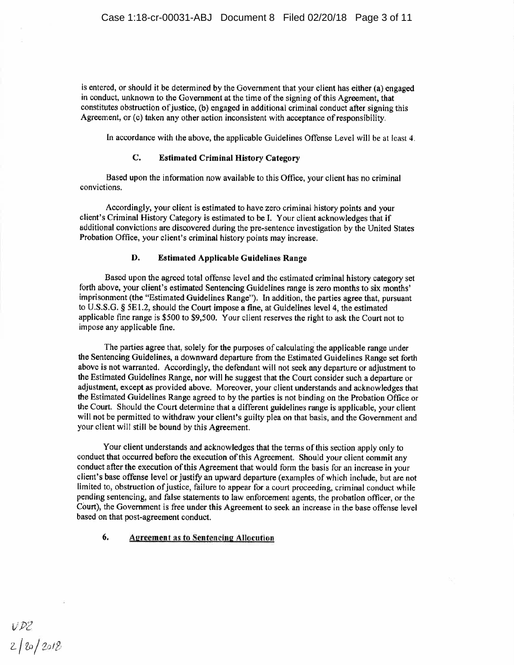is entered, or should it be determined by the Government that your client has either (a) engaged in conduct, unknown to the Government at the time of the signing of this Agreement, that constitutes obstruction of justice, (b) engaged in additional criminal conduct after signing this Agreement, or (c) taken any other action inconsistent with acceptance of responsibility.

In accordance with the above, the applicable Guidelines Offense Level will be at least 4.

#### **C. Estimated Criminal History Category**

Based upon the information now available to this Office, your client has no criminal convictions.

Accordingly, your client is estimated to have zero criminal history points and your client's Criminal History Category is estimated to be I. Your client acknowledges that if additional convictions are discovered during the pre-sentence investigation by the United States Probation Office, your client's criminal history points may increase.

#### **D. Estimated Applicable Guidelines Range**

Based upon the agreed total offense level and the estimated criminal history category set forth above, your client's estimated Sentencing Guidelines range is zero months to six months' imprisonment (the "Estimated Guidelines Range"). In addition, the parties agree that, pursuant to U.S.S.G. § 5El.2, should the Court impose a fine, at Guidelines level 4, the estimated applicable fine range is \$500 to \$9,500. Your client reserves the right to ask the Court not to impose any applicable fine.

The parties agree that, solely for the purposes of calculating the applicable range under the Sentencing Guidelines, a downward departure from the Estimated Guidelines Range set fort h above is not warranted. Accordingly, the defendant will not seek any departure or adjustment t o the Estimated Guidelines Range, nor will he suggest that the Court consider such a departure or adjustment, except as provided above. Moreover, your client understands and acknowledges th at the Estimated Guidelines Range agreed to by the parties is not binding on the Probation Office or the Court. Should the Court determine that a different guidelines range is applicable, your clien t will not be permitted to withdraw your client's guilty plea on that basis, and the Government an d your client will still be bound by this Agreement.

Your client understands and acknowledges that the terms of this section apply only to conduct that occurred before the execution of this Agreement. Should your client commit any conduct after the execution of this Agreement that would form the basis for an increase in your client's base offense level or justify an upward departure (examples of which include, but are not limited to, obstruction of justice, failure to appear for a court proceeding, criminal conduct while pending sentencing, and false statements to law enforcement agents, the probation officer, or the Court), the Government is free under this Agreement to seek an increase in the base offense leve l based on that post-agreement conduct.

## 6. **Agreement** as to **Sentencing** Allocution

) D 2 2- / ~1 / *ZoiP,,*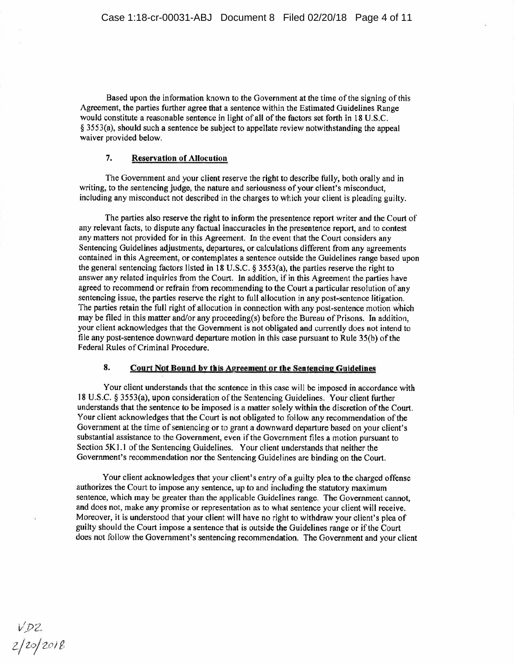Based upon the information known to the Government at the time of the signing of this Agreement, the parties further agree that a sentence within the Estimated Guidelines Range would constitute a reasonable sentence in light of all of the factors set forth in 18 U.S.C.  $§$  3553(a), should such a sentence be subject to appellate review notwithstanding the appeal waiver provided below.

## 7. **Reservation of Allocution**

The Government and your client reserve the right to describe fully, both orally and in writing, to the sentencing judge, the nature and seriousness of your client's misconduct, including any misconduct not described in the charges to which your client is pleading guilty.

The parties also reserve the right to inform the presentence report writer and the Court of any relevant facts, to dispute any factual inaccuracies in the presentence report, and to contest any matters not provided for in this Agreement. In the event that the Court considers any Sentencing Guidelines adjustments, departures, or calculations different from any agreements contained in this Agreement, or contemplates a sentence outside the Guidelines range based upon the general sentencing factors listed in 18 U.S.C.  $\S$  3553(a), the parties reserve the right to answer any related' inquiries from the Court. In addition, if in this Agreement the parties have agreed to recommend or refrain from recommending to the Court a particular resolution of any sentencing issue, the parties reserve the right to full allocution in any post-sentence litigation. The parties retain the full right of allocution in connection with any post-sentence motion which may be filed in this matter and/or any proceeding(s) before the Bureau of Prisons. In addition, your client acknowledges that the Government is not obligated and currently does not intend to file any post-sentence downward departure motion in this case pursuant to Rule 35(b) of the Federal Rules of Criminal Procedure.

# 8. Court Not Bound by this Agreement or the Sentencing Guidelines

Your client understands that the sentence in this case will be imposed in accordance with 18 U.S.C. § 3553(a), upon consideration of the Sentencing Guidelines. Your client further understands that the sentence lo be imposed is a matter solely within the discretion of the Court. Your client acknowledges that the Court is not obligated to follow any recommendation of the Government at the time of sentencing or to grant a downward departure based on your client's substantial assistance to the Government, even if the Government files a motion pursuant to Section 5K1.1 of the Sentencing Guidelines. Your client understands that neither the Government's recommendation nor the Sentencing Guidelines are binding on the Court.

Your client acknowledges that your client's entry of a guilty plea to the charged offense authorizes the Court to impose any sentence, up to and including the statutory maximum sentence, which may be greater than the applicable Guidelines range. The Government cannot, and does not, make any promise or representation as to what sentence your client will receive. Moreover, it is understood that your client will have no right to withdraw your client's plea of guilty should the Court impose a sentence that is outside the Guidelines range or if the Court does not follow the Government's sentencing recommendation. The Government and your client

*z/zo/2oi&*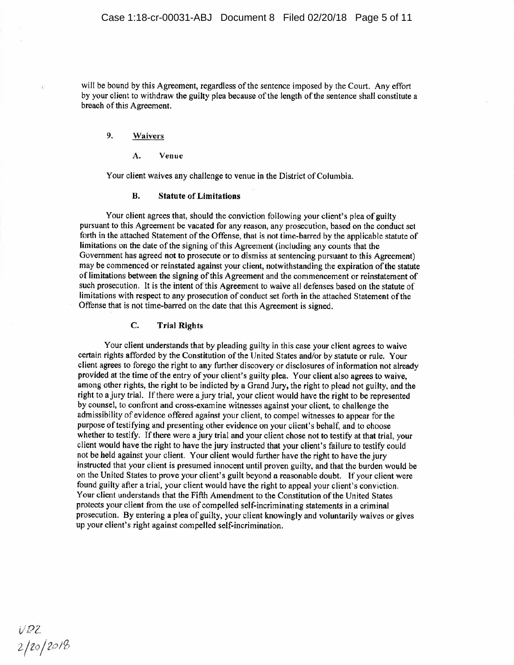will be bound by this Agreement, regardless of the sentence imposed by the Court. Any effort by your client to withdraw the guilty plea because of the length of the sentence shall constitute a breach of this Agreement.

#### **9. Waivers**

**A. Venue** 

Your client waives any challenge to venue in the District of Columbia.

#### **B. Statute of Limitations**

Your client agrees that, should the conviction following your client's plea of guilty pursuant to this Agreement be vacated for any reason, any prosecution, based on the conduct set forth in the attached Statement of the Offense, that is not time-barred by the applicable statute of limitations on the date of the signing of this Agreement (including any counts that the Government has agreed not to prosecute or to dismiss at sentencing pursuant to this Agreement) may be commenced or reinstated against your client, notwithstanding the expiration of the statute oflimitations between the signing of this Agreement and the commencement or reinstatement of such prosecution. It is the intent of this Agreement to waive all defenses based on the statute of limitations with respect to any prosecution of conduct set forth in the attached Statement of the Offense that is not time-barred on the date that this Agreement is signed.

#### **C. Trial Rights**

Your client understands that by pleading guilty in this case your client agrees to waive certain rights afforded by the Constitution of the United States and/or by statute or rule. Your client agrees to forego the right to any further discovery or disclosures of information not already provided at the time of the entry of your client's guilty plea. Your client also agrees to waive, among other rights, the right to be indicted by a Grand Jury, the right to plead not guilty, ond the right to a jury trial. If there were a jury trial, your client would have the right to be represented by counsel, to confront and cross-examine witnesses against your client, to challenge the admissibility of evidence offered against your client, to compel witnesses to appear for the purpose of testifying and presenting other evidence on your client's behalf, and to choose whether to testify. If there were a jury trial and your client chose not to testify at that trial, your client would have the right to have the jury instructed that your client's failure to testify could not be held against your client. Your client would further have the right to have the jury instructed that your client is presumed innocent until proven guilty, and that the burden would be on the United States to prove your client's guilt beyond a reasonable doubt. If your client were found guilty after a trial, your client would have the right to appeal your client's conviction. Your client understands that the Fifth Amendment to the Constitution of the United States protects your client from the use of compelled self-incriminating statements in a criminal prosecution. By entering a plea of guilty, your client knowingly and voluntarily waives or gives up your client's right against compelled self-incrimination.

*2/20/201(2.,*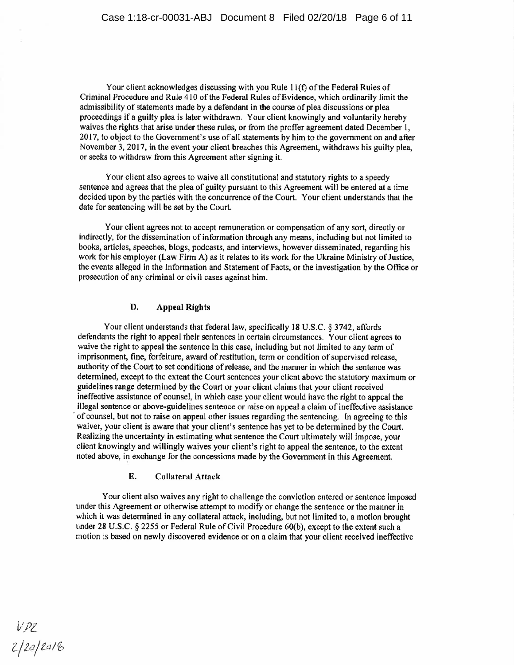Your client acknowledges discussing with you Rule 11(f) of the Federal Rules of Criminal Procedure and Rule 410 of the Federal Rules of Evidence, which ordinarily limit the admissibility of statements made by a defendant in the course of plea discussions or plea proceedings if a guilty plea is later withdrawn, Your client knowingly and voluntarily hereby waives the rights that arise under these rules, or from the proffer agreement dated December 1, 2017, to object to the Government's use of all statements by him to the government on and after November 3, 2017, in the event your client breaches this Agreement, withdraws his guilty plea, or seeks to withdraw from this Agreement after signing it.

Your client also agrees to waive all constitutional and statutory rights to a speedy sentence and agrees that the plea of guilty pursuant to this Agreement will be entered at a time decided upon by the parties with the concurrence of the Court. Your client understands that the date for sentencing will be set by the Court.

Your client agrees not to accept remuneration or compensation of any sort, directly or indirectly, for the dissemination of information through any means, including but not limited to books, articles, speeches, biogs, podcasts, and interviews, however disseminated, regarding his work for his employer (Law Firm A) as it relates to its work for the Ukraine Ministry of Justice, the events alleged in the Information and Statement of Facts, or the investigation by the Office or prosecution of any criminal or civil cases against him.

# **D. Appeal Rights**

Your client understands that federal law, specifically 18 U.S.C. § 3742, affords defendants the right to appeal their sentences in certain circumstances. Your client agrees to waive the right to appeal the sentence in this case, including but not limited to any term of imprisonment, fine, forfeiture, award of restitution, term or condition of supervised release, authority of the Court to set conditions of release, and the manner in which the sentence was determined, except to the extent the Court sentences your client above the statutory maximum or guidelines range determined by the Court or your client claims that your client received ineffective assistance of counsel, in which case your client would have the right to appeal the illegal sentence or above-guidelines sentence or raise on appeal a claim of ineffective assistance of counsel, but not to raise on appeal other issues regarding the sentencing. In agreeing to this ' waiver, your client is aware that your client's sentence has yet to be determined by the Court. Realizing the uncertainty in estimating what sentence the Court ultimately will impose, your client knowingly and willingly waives your client's right to appeal the sentence, to the extent noted above, in exchange for the concessions made by the Government in this Agreement.

### E. Collateral Attack

Your client also waives any right to challenge the conviction entered or sentence imposed under this Agreement or otherwise attempt to modify or change the sentence or the manner in which it was determined in any collateral attack, including, but not limited to, a motion brought under 28 U.S.C. § 2255 or Federal Rule of Civil Procedure 60(b), except to the extent such a motion is based on newly discovered evidence or on a claim that your client received ineffective

 $VPL$ <br>2/20/2016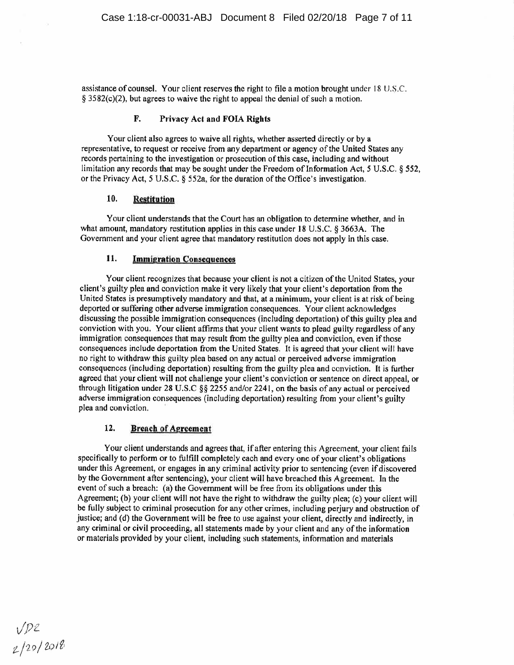assistance of counsel. Your client reserves the right to file a motion brought under 18 U.S.C. § 3582(c)(2), but agrees to waive the right to appeal the denial of such a motion.

# **F. Privacy Act and FOIA Rights**

Your client also agrees to waive all rights, whether asserted directly or by a representative, to request or receive from any department or agency of the United States any records pertaining to the investigation or prosecution of this case, including and without limitation any records that may be sought under the Freedom of Information Act, 5 U.S.C. § 552, or the Privacy Act, 5 U.S.C. § 552a, for the duration of the Office's investigation.

# 10. **Restitution**

Your client understands that the Court has an obligation to determine whether, and in what amount, mandatory restitution applies in this case under 18 U.S.C. § 3663A. The Government and your client agree that mandatory restitution does not apply in this case.

# **11. Immigration Consequences**

Your client recognizes that because your client is not a citizen of the United States, your client's guilty plea and conviction make it very likely that your client's deportation from the United States is presumptively mandatory and that, at a minimum, your client is at risk of being deported or suffering other adverse immigration consequences. Your client acknowledges discussing the possible immigration consequences (including deportation) of this guilty plea and conviction with you. Your client affirms that your client wants to plead guilty regard less of any immigration consequences that may result from the guilty plea and conviclion, even if those consequences include deportation from the United States, It is agreed that your client will have no right to withdraw this guilty plea based on any actual or perceived adverse immigration consequences (including deportation) resulting from the guilty plea and conviction. It is further agreed that your client will not challenge your client's conviction or sentence on direct appeal, or through litigation under 28 U.S.C §§ 2255 and/or 2241, on the basis of any actual or perceived adverse immigration consequences (including deportation) resulting from your client's guilty plea and conviction.

## 12. **Breach of Agreement**

Your client understands and agrees that, if after entering this Agreement, your client fails specifically to perform or to fulfill completely each and every one of your client's obligations under this Agreement, or engages in any criminal activity prior to sentencing (even **if** discovered by the Government after sentencing), your client will have breached this Agreement. In the event of such a breach: (a) the Government will be free from its obligations under this Agreement; (b) your client will not have the right to withdraw the guilty plea; (c) your client will be fully subject to criminal prosecution for any other crimes, including perjury and obstruction of justice; and (d) the Government will be free to use against your client, directly and indirectly, in any criminal or civil proceeding, all statements made by your client and any of the information or materials provided by your client, including such statements, information and materials

*i/20/ 201£;*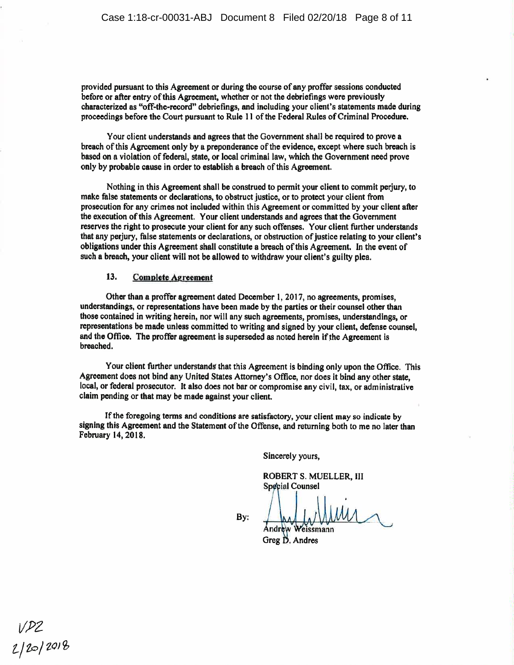pursuant to this Agreement or during the course of any proffer sessions conducted before or after entry of this Agreement. whether or not the debriefings were previously characterized as "off-the-record" debriefings, and including your client's statements made during proceedings before the Court pursuant *to* Rule 11 of the Federal Rules of Criminal Procedure.

Your client understands and agrees that the Government shall be required to prove a breach of this Agreement only by a preponderance of the evidence, except where such breach is based on a violation of federal, stato. or local criminal law, which the Government need prove only by probable cause in order to establish a breach of this Agreement.

Nothing in this Agreement shall be construed to permit your client to commit perjury, to make false statements or declarations, to obstruct justice, or to protect your client from prosecution for any crimes not included within this Agreement or committed by your client after the execution of this Agreement. Your client understands and agrees that the Government reserves the right to prosecute your client for any such offenses. Your client further understands that any perjury, false statements or declarations, or obstruction of justice relating to your client's obligations under this Agreement shall constitute a breach of this Agreement. In the event of such a breach, your client will not be allowed to withdraw your client's guilty plea.

# 13. Complete Agreement

Other than a proffer **agreement** dated December 1, 2017, no agreements, promises, understandings, or representations have been made by the parties or their counsel other than those contained in writing herein, nor will any such agreements, promises. understandings, or representations be made unless committed to writing and signed by your client, defense counsel, and the Office. The proffer agreement is superseded as noted herein if the Agreement is breached.

Your client further understands that this Agreement is binding only upon the Office. This Agreement does not bind any United States Attorney's Office. nor does it bind any other state, local, or federal prosecutor. It also does not bar or compromise any civil, tax, or administrative claim pending or that may be made against your client.

If the foregoing terms and conditions are satisfactory, your client may so indicate by signing this Agreement and the Statement of the Offense, and returning both to me no later than February 14, 2018.

By:

Sincerely yours.

ROBERTS. MUELLER, 111 Special Counsel

eissmann Greg D. Andres

VPZ<br>2/20/2018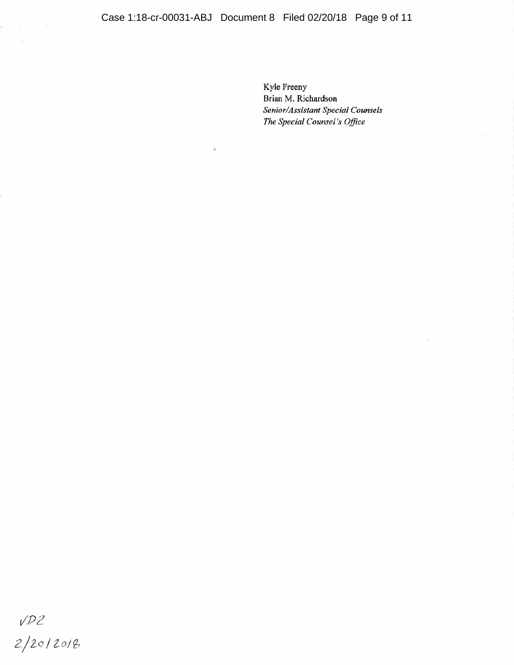Kyle Freeny Brian M. Richardson *Senior/Assistant Special Counsels*  **The Special Counsel's Office** 

*,1])2 2/2.0* / Zo/t,

e.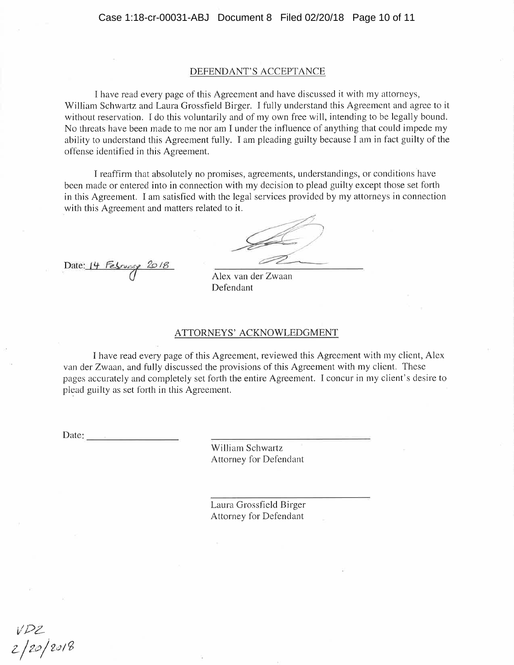# DEFENDANT'S ACCEPTANCE

I have read every page of this Agreement and have discussed it with my attorneys, William Schwartz and Laura Grossfield Birger. I fully understand this Agreement and agree to it without reservation. I do this voluntarily and of my own free will, intending to be legally bound. No threats have been made to me nor am I under the influence of anything that could impede my ability to understand this Agreement fully. I am pleading guilty because I am in fact guilty of the offense identified in this Agreement.

I reaffirm that absolutely no promises, agreements, understandings, or conditions have been made or entered into in connection with my decision to plead guilty except those set forth in this Agreement. I am satisfied with the legal services provided by my attorneys in connection with this Agreement and matters related to it.

**Date: 14 February** 2018

*0* Alex van der Zwaan Defendant

## ATTORNEYS' ACKNOWLEDGMENT

I have read every page of this Agreement, reviewed this Agreement with my client, Alex van der Zwaan, and fully discussed the provisions of this Agreement with my client. These pages accurately and completely set forth the entire Agreement. I concur in my client's desire to plead guilty as set forth in this Agreement.

Date:

William Schwartz Attorney for Defendant

Laura Grossfield Birger Attorney for Defendant

 $VD2$ <br>2 | 20 | 20 | 8